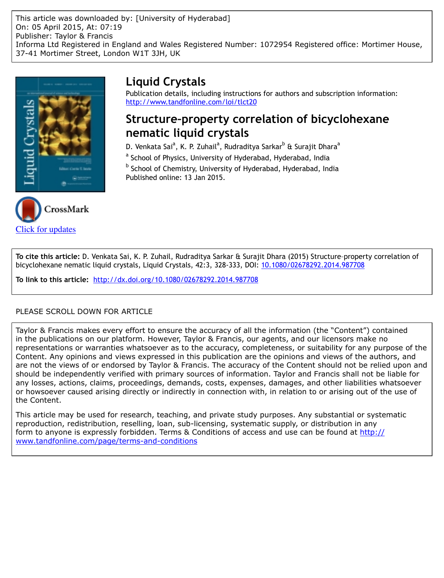



# **Liquid Crystals**

Publication details, including instructions for authors and subscription information: <http://www.tandfonline.com/loi/tlct20>

# **Structure–property correlation of bicyclohexane nematic liquid crystals**

D. Venkata Sai<sup>a</sup>, K. P. Zuhail<sup>a</sup>, Rudraditya Sarkar<sup>b</sup> & Surajit Dhara<sup>a</sup>

<sup>a</sup> School of Physics, University of Hyderabad, Hyderabad, India

<sup>b</sup> School of Chemistry, University of Hyderabad, Hyderabad, India Published online: 13 Jan 2015.

**To cite this article:** D. Venkata Sai, K. P. Zuhail, Rudraditya Sarkar & Surajit Dhara (2015) Structure–property correlation of bicyclohexane nematic liquid crystals, Liquid Crystals, 42:3, 328-333, DOI: [10.1080/02678292.2014.987708](http://www.tandfonline.com/action/showCitFormats?doi=10.1080/02678292.2014.987708)

**To link to this article:** <http://dx.doi.org/10.1080/02678292.2014.987708>

# PLEASE SCROLL DOWN FOR ARTICLE

Taylor & Francis makes every effort to ensure the accuracy of all the information (the "Content") contained in the publications on our platform. However, Taylor & Francis, our agents, and our licensors make no representations or warranties whatsoever as to the accuracy, completeness, or suitability for any purpose of the Content. Any opinions and views expressed in this publication are the opinions and views of the authors, and are not the views of or endorsed by Taylor & Francis. The accuracy of the Content should not be relied upon and should be independently verified with primary sources of information. Taylor and Francis shall not be liable for any losses, actions, claims, proceedings, demands, costs, expenses, damages, and other liabilities whatsoever or howsoever caused arising directly or indirectly in connection with, in relation to or arising out of the use of the Content.

This article may be used for research, teaching, and private study purposes. Any substantial or systematic reproduction, redistribution, reselling, loan, sub-licensing, systematic supply, or distribution in any form to anyone is expressly forbidden. Terms & Conditions of access and use can be found at [http://](http://www.tandfonline.com/page/terms-and-conditions) [www.tandfonline.com/page/terms-and-conditions](http://www.tandfonline.com/page/terms-and-conditions)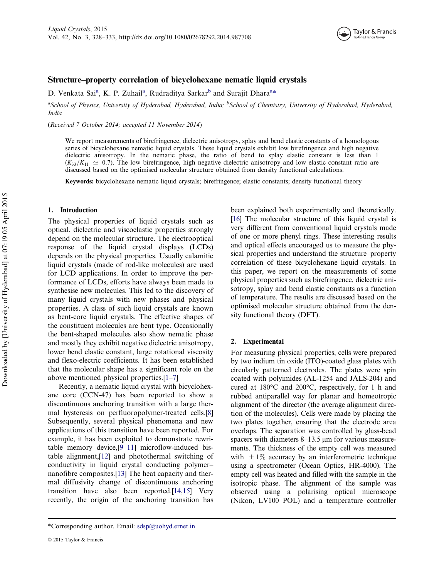

# Structure–property correlation of bicyclohexane nematic liquid crystals

D. Venkata Sai<sup>a</sup>, K. P. Zuhail<sup>a</sup>, Rudraditya Sarkar<sup>b</sup> and Surajit Dhara<sup>a</sup>\*

<sup>a</sup>School of Physics, University of Hyderabad, Hyderabad, India; <sup>b</sup>School of Chemistry, University of Hyderabad, Hyderabad, India

(Received 7 October 2014; accepted 11 November 2014)

We report measurements of birefringence, dielectric anisotropy, splay and bend elastic constants of a homologous series of bicyclohexane nematic liquid crystals. These liquid crystals exhibit low birefringence and high negative dielectric anisotropy. In the nematic phase, the ratio of bend to splay elastic constant is less than 1  $(K_{33}/K_{11} \simeq 0.7)$ . The low birefringence, high negative dielectric anisotropy and low elastic constant ratio are discussed based on the optimised molecular structure obtained from density functional calculations.

Keywords: bicyclohexane nematic liquid crystals; birefringence; elastic constants; density functional theory

## 1. Introduction

The physical properties of liquid crystals such as optical, dielectric and viscoelastic properties strongly depend on the molecular structure. The electrooptical response of the liquid crystal displays (LCDs) depends on the physical properties. Usually calamitic liquid crystals (made of rod-like molecules) are used for LCD applications. In order to improve the performance of LCDs, efforts have always been made to synthesise new molecules. This led to the discovery of many liquid crystals with new phases and physical properties. A class of such liquid crystals are known as bent-core liquid crystals. The effective shapes of the constituent molecules are bent type. Occasionally the bent-shaped molecules also show nematic phase and mostly they exhibit negative dielectric anisotropy, lower bend elastic constant, large rotational viscosity and flexo-electric coefficients. It has been established that the molecular shape has a significant role on the above mentioned physical properties.[[1](#page-5-0)–[7\]](#page-5-0)

Recently, a nematic liquid crystal with bicyclohexane core (CCN-47) has been reported to show a discontinuous anchoring transition with a large thermal hysteresis on perfluoropolymer-treated cells.[\[8](#page-5-0)] Subsequently, several physical phenomena and new applications of this transition have been reported. For example, it has been exploited to demonstrate rewritable memory device,[\[9](#page-5-0)–[11](#page-5-0)] microflow-induced bistable alignment,[[12\]](#page-5-0) and photothermal switching of conductivity in liquid crystal conducting polymer– nanofibre composites.[\[13](#page-5-0)] The heat capacity and thermal diffusivity change of discontinuous anchoring transition have also been reported.[\[14](#page-6-0),[15\]](#page-6-0) Very recently, the origin of the anchoring transition has

been explained both experimentally and theoretically. [\[16](#page-6-0)] The molecular structure of this liquid crystal is very different from conventional liquid crystals made of one or more phenyl rings. These interesting results and optical effects encouraged us to measure the physical properties and understand the structure–property correlation of these bicyclohexane liquid crystals. In this paper, we report on the measurements of some physical properties such as birefringence, dielectric anisotropy, splay and bend elastic constants as a function of temperature. The results are discussed based on the optimised molecular structure obtained from the density functional theory (DFT).

#### 2. Experimental

For measuring physical properties, cells were prepared by two indium tin oxide (ITO)-coated glass plates with circularly patterned electrodes. The plates were spin coated with polyimides (AL-1254 and JALS-204) and cured at 180°C and 200°C, respectively, for 1 h and rubbed antiparallel way for planar and homeotropic alignment of the director (the average alignment direction of the molecules). Cells were made by placing the two plates together, ensuring that the electrode area overlaps. The separation was controlled by glass-bead spacers with diameters  $8-13.5 \mu m$  for various measurements. The thickness of the empty cell was measured with  $\pm 1\%$  accuracy by an interferometric technique using a spectrometer (Ocean Optics, HR-4000). The empty cell was heated and filled with the sample in the isotropic phase. The alignment of the sample was observed using a polarising optical microscope (Nikon, LV100 POL) and a temperature controller

<sup>\*</sup>Corresponding author. Email: sdsp@uohyd.ernet.in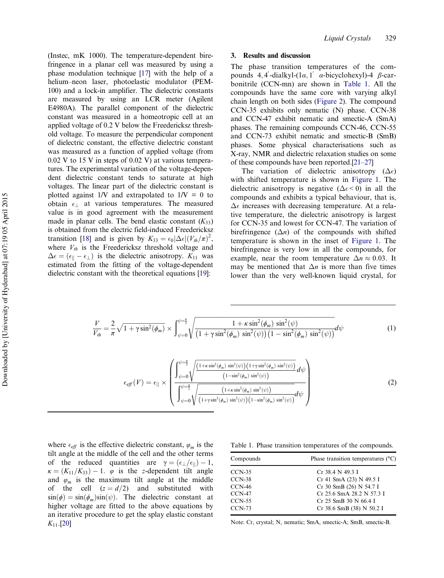(Instec, mK 1000). The temperature-dependent birefringence in a planar cell was measured by using a phase modulation technique [\[17\]](#page-6-0) with the help of a helium–neon laser, photoelastic modulator (PEM-100) and a lock-in amplifier. The dielectric constants are measured by using an LCR meter (Agilent E4980A). The parallel component of the dielectric constant was measured in a homeotropic cell at an applied voltage of 0.2 V below the Freedericksz threshold voltage. To measure the perpendicular component of dielectric constant, the effective dielectric constant was measured as a function of applied voltage (from 0.02 V to 15 V in steps of 0.02 V) at various temperatures. The experimental variation of the voltage-dependent dielectric constant tends to saturate at high voltages. The linear part of the dielectric constant is plotted against  $1/V$  and extrapolated to  $1/V = 0$  to obtain  $\epsilon_{\perp}$  at various temperatures. The measured value is in good agreement with the measurement made in planar cells. The bend elastic constant  $(K_{33})$ is obtained from the electric field-induced Freedericksz transition [[18](#page-6-0)] and is given by  $K_{33} = \epsilon_0 |\Delta \epsilon| (V_{th}/\pi)^2$ , where  $V_{th}$  is the Freedericksz threshold voltage and  $\Delta \epsilon = (\epsilon_{\parallel} - \epsilon_{\perp})$  is the dielectric anisotropy.  $K_{11}$  was estimated from the fitting of the voltage-dependent dielectric constant with the theoretical equations [[19\]](#page-6-0):

### 3. Results and discussion

The phase transition temperatures of the compounds  $4, 4$ -dialkyl- $(1\alpha, 1\alpha)$   $\alpha$ -bicyclohexyl)-4  $\beta$ -carbonitrile (CCN-mn) are shown in Table 1. All the compounds have the same core with varying alkyl chain length on both sides ([Figure 2](#page-3-0)). The compound CCN-35 exhibits only nematic (N) phase. CCN-38 and CCN-47 exhibit nematic and smectic-A (SmA) phases. The remaining compounds CCN-46, CCN-55 and CCN-73 exhibit nematic and smectic-B (SmB) phases. Some physical characterisations such as X-ray, NMR and dielectric relaxation studies on some of these compounds have been reported.[[21](#page-6-0)–[27](#page-6-0)]

The variation of dielectric anisotropy ( $\Delta \epsilon$ ) with shifted temperature is shown in [Figure 1](#page-3-0). The dielectric anisotropy is negative ( $\Delta \epsilon < 0$ ) in all the compounds and exhibits a typical behaviour, that is,  $\Delta \epsilon$  increases with decreasing temperature. At a relative temperature, the dielectric anisotropy is largest for CCN-35 and lowest for CCN-47. The variation of birefringence  $(\Delta n)$  of the compounds with shifted temperature is shown in the inset of [Figure 1](#page-3-0). The birefringence is very low in all the compounds, for example, near the room temperature  $\Delta n \approx 0.03$ . It may be mentioned that  $\Delta n$  is more than five times lower than the very well-known liquid crystal, for

$$
\frac{V}{V_{th}} = \frac{2}{\pi} \sqrt{1 + \gamma \sin^2(\phi_m)} \times \int_{\psi=0}^{\psi=\frac{\pi}{2}} \sqrt{\frac{1 + \kappa \sin^2(\phi_m) \sin^2(\psi)}{(1 + \gamma \sin^2(\phi_m) \sin^2(\psi)) (1 - \sin^2(\phi_m) \sin^2(\psi))}} d\psi
$$
(1)

$$
\epsilon_{eff}(V) = \epsilon_{||} \times \left( \frac{\int_{\psi=0}^{\psi=\frac{\pi}{2}} \sqrt{\frac{\left(1+\kappa\sin^2(\phi_m)\sin^2(\psi)\right)\left(1+\gamma\sin^2(\phi_m)\sin^2(\psi)\right)}{\left(1-\sin^2(\phi_m)\sin^2(\psi)\right)}}d\psi}{\int_{\psi=0}^{\psi=\frac{\pi}{2}} \sqrt{\frac{\left(1+\kappa\sin^2(\phi_m)\sin^2(\psi)\right)}{\left(1+\kappa\sin^2(\phi_m)\sin^2(\psi)\right)\left(1-\sin^2(\phi_m)\sin^2(\psi)\right)}}d\psi} \right) \tag{2}
$$

where  $\epsilon_{\text{eff}}$  is the effective dielectric constant,  $\varphi_m$  is the tilt angle at the middle of the cell and the other terms of the reduced quantities are  $\gamma = (\epsilon_{\perp}/\epsilon_{\parallel}) - 1$ ,  $\kappa = (K_{11}/K_{33}) - 1$ .  $\varphi$  is the z-dependent tilt angle and  $\varphi_m$  is the maximum tilt angle at the middle of the cell  $(z = d/2)$  and substituted with  $\sin(\phi) = \sin(\phi_m)\sin(\psi)$ . The dielectric constant at higher voltage are fitted to the above equations by an iterative procedure to get the splay elastic constant  $K_{11}$ .[\[20](#page-6-0)]

Table 1. Phase transition temperatures of the compounds.

| Compounds | Phase transition temperatures $(°C)$ |  |  |  |
|-----------|--------------------------------------|--|--|--|
| $CCN-35$  | $Cr$ 38.4 N 49.3 I                   |  |  |  |
| $CCN-38$  | Cr 41 SmA (23) N 49.5 I              |  |  |  |
| $CCN-46$  | Cr 30 SmB (26) N 54.7 I              |  |  |  |
| $CCN-47$  | Cr 25.6 SmA 28.2 N 57.3 I            |  |  |  |
| $CCN-55$  | $Cr$ 25 SmB 30 N 66.4 I              |  |  |  |
| $CCN-73$  | Cr 38.6 SmB (38) N 50.2 I            |  |  |  |
|           |                                      |  |  |  |

Note: Cr, crystal; N, nematic; SmA, smectic-A; SmB, smectic-B.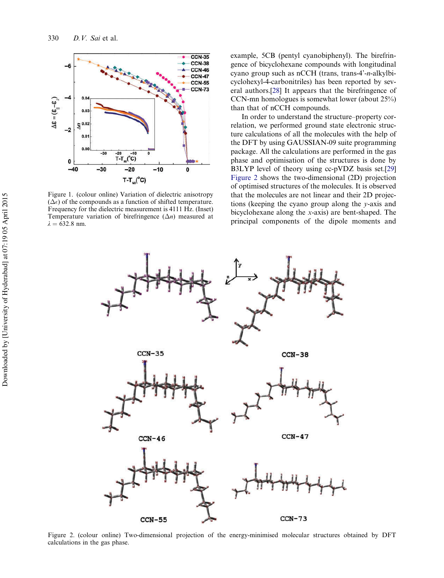<span id="page-3-0"></span>

Figure 1. (colour online) Variation of dielectric anisotropy  $(\Delta \epsilon)$  of the compounds as a function of shifted temperature. Frequency for the dielectric measurement is 4111 Hz. (Inset) Temperature variation of birefringence  $(\Delta n)$  measured at  $\lambda = 632.8$  nm.

example, 5CB (pentyl cyanobiphenyl). The birefringence of bicyclohexane compounds with longitudinal cyano group such as nCCH (trans, trans-4'-n-alkylbicyclohexyl-4-carbonitriles) has been reported by several authors.[[28\]](#page-6-0) It appears that the birefringence of CCN-mn homologues is somewhat lower (about 25%) than that of nCCH compounds.

In order to understand the structure–property correlation, we performed ground state electronic structure calculations of all the molecules with the help of the DFT by using GAUSSIAN-09 suite programming package. All the calculations are performed in the gas phase and optimisation of the structures is done by B3LYP level of theory using cc-pVDZ basis set.[\[29](#page-6-0)] Figure 2 shows the two-dimensional (2D) projection of optimised structures of the molecules. It is observed that the molecules are not linear and their 2D projections (keeping the cyano group along the y-axis and bicyclohexane along the x-axis) are bent-shaped. The principal components of the dipole moments and



Figure 2. (colour online) Two-dimensional projection of the energy-minimised molecular structures obtained by DFT calculations in the gas phase.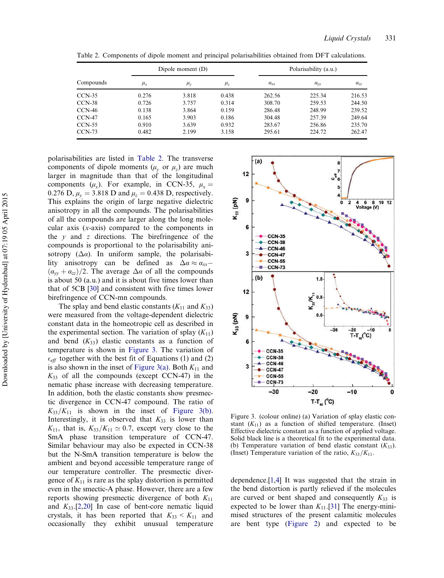| Compounds |               | Dipole moment (D) |           | Polarisability (a.u.) |          |          |
|-----------|---------------|-------------------|-----------|-----------------------|----------|----------|
|           | $\mu_{\rm r}$ | $\mu_{v}$         | $\mu_{z}$ | $a_{rr}$              | $a_{vv}$ | $a_{77}$ |
| $CCN-35$  | 0.276         | 3.818             | 0.438     | 262.56                | 225.34   | 216.53   |
| $CCN-38$  | 0.726         | 3.757             | 0.314     | 308.70                | 259.53   | 244.50   |
| $CCN-46$  | 0.138         | 3.864             | 0.159     | 286.48                | 248.99   | 239.52   |
| $CCN-47$  | 0.165         | 3.903             | 0.186     | 304.48                | 257.39   | 249.64   |
| $CCN-55$  | 0.910         | 3.639             | 0.932     | 283.67                | 256.86   | 235.70   |
| $CCN-73$  | 0.482         | 2.199             | 3.158     | 295.61                | 224.72   | 262.47   |

Table 2. Components of dipole moment and principal polarisabilities obtained from DFT calculations.

polarisabilities are listed in Table 2. The transverse components of dipole moments  $(\mu_v \text{ or } \mu_z)$  are much larger in magnitude than that of the longitudinal components ( $\mu_x$ ). For example, in CCN-35,  $\mu_x =$ 0.276 D,  $\mu_v = 3.818$  D and  $\mu_z = 0.438$  D, respectively. This explains the origin of large negative dielectric anisotropy in all the compounds. The polarisabilities of all the compounds are larger along the long molecular axis (x-axis) compared to the components in the  $y$  and  $z$  directions. The birefringence of the compounds is proportional to the polarisability anisotropy  $(\Delta \alpha)$ . In uniform sample, the polarisability anisotropy can be defined as  $\Delta \alpha \approx a_{xx}$  $(\alpha_{yy} + \alpha_{zz})/2$ . The average  $\Delta \alpha$  of all the compounds is about 50 (a.u.) and it is about five times lower than that of 5CB [[30\]](#page-6-0) and consistent with five times lower birefringence of CCN-mn compounds.

The splay and bend elastic constants  $(K_{11}$  and  $K_{33})$ were measured from the voltage-dependent dielectric constant data in the homeotropic cell as described in the experimental section. The variation of splay  $(K_{11})$ and bend  $(K_{33})$  elastic constants as a function of temperature is shown in Figure 3. The variation of  $\epsilon_{\text{eff}}$  together with the best fit of Equations (1) and (2) is also shown in the inset of Figure 3(a). Both  $K_{11}$  and  $K_{33}$  of all the compounds (except CCN-47) in the nematic phase increase with decreasing temperature. In addition, both the elastic constants show presmectic divergence in CCN-47 compound. The ratio of  $K_{33}/K_{11}$  is shown in the inset of Figure 3(b). Interestingly, it is observed that  $K_{33}$  is lower than  $K_{11}$ , that is,  $K_{33}/K_{11} \simeq 0.7$ , except very close to the SmA phase transition temperature of CCN-47. Similar behaviour may also be expected in CCN-38 but the N-SmA transition temperature is below the ambient and beyond accessible temperature range of our temperature controller. The presmectic divergence of  $K_{11}$  is rare as the splay distortion is permitted even in the smectic-A phase. However, there are a few reports showing presmectic divergence of both  $K_{11}$ and  $K_{33}$ .[[2,](#page-5-0)[20](#page-6-0)] In case of bent-core nematic liquid crystals, it has been reported that  $K_{33} < K_{11}$  and occasionally they exhibit unusual temperature



Figure 3. (colour online) (a) Variation of splay elastic constant  $(K_{11})$  as a function of shifted temperature. (Inset) Effective dielectric constant as a function of applied voltage. Solid black line is a theoretical fit to the experimental data. (b) Temperature variation of bend elastic constant  $(K_{33})$ . (Inset) Temperature variation of the ratio,  $K_{33}/K_{11}$ .

dependence.[[1,4\]](#page-5-0) It was suggested that the strain in the bend distortion is partly relieved if the molecules are curved or bent shaped and consequently  $K_{33}$  is expected to be lower than  $K_{11}$ .[\[31](#page-6-0)] The energy-minimised structures of the present calamitic molecules are bent type ([Figure 2](#page-3-0)) and expected to be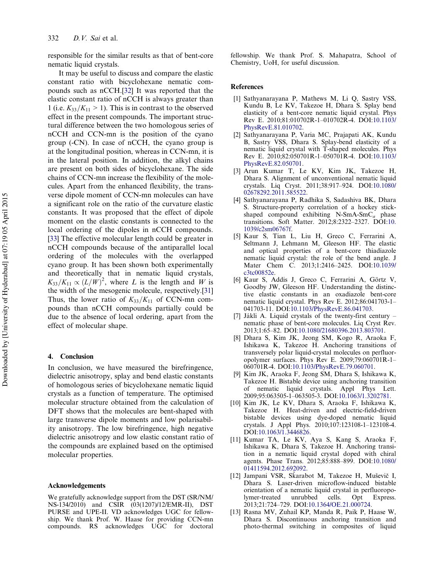<span id="page-5-0"></span>responsible for the similar results as that of bent-core nematic liquid crystals.

It may be useful to discuss and compare the elastic constant ratio with bicyclohexane nematic compounds such as nCCH.[\[32](#page-6-0)] It was reported that the elastic constant ratio of nCCH is always greater than 1 (i.e.  $K_{33}/K_{11} > 1$ ). This is in contrast to the observed effect in the present compounds. The important structural difference between the two homologous series of nCCH and CCN-mn is the position of the cyano group (-CN). In case of nCCH, the cyano group is at the longitudinal position, whereas in CCN-mn, it is in the lateral position. In addition, the alkyl chains are present on both sides of bicyclohexane. The side chains of CCN-mn increase the flexibility of the molecules. Apart from the enhanced flexibility, the transverse dipole moment of CCN-mn molecules can have a significant role on the ratio of the curvature elastic constants. It was proposed that the effect of dipole moment on the elastic constants is connected to the local ordering of the dipoles in nCCH compounds. [\[33](#page-6-0)] The effective molecular length could be greater in nCCH compounds because of the antiparallel local ordering of the molecules with the overlapped cyano group. It has been shown both experimentally and theoretically that in nematic liquid crystals,  $K_{33}/K_{11} \propto (L/W)^2$ , where L is the length and W is the width of the mesogenic molecule, respectively.[\[31](#page-6-0)] Thus, the lower ratio of  $K_{33}/K_{11}$  of CCN-mn compounds than nCCH compounds partially could be due to the absence of local ordering, apart from the effect of molecular shape.

#### 4. Conclusion

In conclusion, we have measured the birefringence, dielectric anisotropy, splay and bend elastic constants of homologous series of bicyclohexane nematic liquid crystals as a function of temperature. The optimised molecular structure obtained from the calculation of DFT shows that the molecules are bent-shaped with large transverse dipole moments and low polarisability anisotropy. The low birefringence, high negative dielectric anisotropy and low elastic constant ratio of the compounds are explained based on the optimised molecular properties.

#### Acknowledgements

We gratefully acknowledge support from the DST (SR/NM/ NS-134/2010) and CSIR (03(1207)/12/EMR-II), DST PURSE and UPE-II. VD acknowledges UGC for fellowship. We thank Prof. W. Haase for providing CCN-mn compounds. RS acknowledges UGC for doctoral fellowship. We thank Prof. S. Mahapatra, School of Chemistry, UoH, for useful discussion.

## **References**

- [1] Sathyanarayana P, Mathews M, Li Q, Sastry VSS, Kundu B, Le KV, Takezoe H, Dhara S. Splay bend elasticity of a bent-core nematic liquid crystal. Phys Rev E. 2010;81:010702R-1–010702R-4. DOI:[10.1103/](http://dx.doi.org/10.1103/PhysRevE.81.010702) [PhysRevE.81.010702.](http://dx.doi.org/10.1103/PhysRevE.81.010702)
- [2] Sathyanarayana P, Varia MC, Prajapati AK, Kundu B, Sastry VSS, Dhara S. Splay-bend elasticity of a nematic liquid crystal with T-shaped molecules. Phys Rev E. 2010;82:050701R-1–050701R-4. DOI:[10.1103/](http://dx.doi.org/10.1103/PhysRevE.82.050701) [PhysRevE.82.050701.](http://dx.doi.org/10.1103/PhysRevE.82.050701)
- [3] Arun Kumar T, Le KV, Kim JK, Takezoe H, Dhara S. Alignment of unconventional nematic liquid crystals. Liq Cryst. 2011;38:917–924. DOI:[10.1080/](http://dx.doi.org/10.1080/02678292.2011.585522) [02678292.2011.585522](http://dx.doi.org/10.1080/02678292.2011.585522).
- [4] Sathyanarayana P, Radhika S, Sadashiva BK, Dhara S. Structure-property correlation of a hockey stickshaped compound exhibiting N-SmA-SmC<sub>a</sub> phase transitions. Soft Matter. 2012;8:2322–2327. DOI:[10.](http://dx.doi.org/10.1039/c2sm06767f) [1039/c2sm06767f](http://dx.doi.org/10.1039/c2sm06767f).
- [5] Kaur S, Tian L, Liu H, Greco C, Ferrarini A, Seltmann J, Lehmann M, Gleeson HF. The elastic and optical properties of a bent-core thiadiazole nematic liquid crystal: the role of the bend angle. J Mater Chem C. 2013;1:2416–2425. DOI:[10.1039/](http://dx.doi.org/10.1039/c3tc00852e) [c3tc00852e](http://dx.doi.org/10.1039/c3tc00852e).
- [6] Kaur S, Addis J, Greco C, Ferrarini A, Görtz V, Goodby JW, Gleeson HF. Understanding the distinctive elastic constants in an oxadiazole bent-core nematic liquid crystal. Phys Rev E. 2012;86:041703-1– 041703-11. DOI:[10.1103/PhysRevE.86.041703.](http://dx.doi.org/10.1103/PhysRevE.86.041703)
- [7] Jákli A. Liquid crystals of the twenty-first century nematic phase of bent-core molecules. Liq Cryst Rev. 2013;1:65–82. DOI:[10.1080/21680396.2013.803701](http://dx.doi.org/10.1080/21680396.2013.803701).
- [8] Dhara S, Kim JK, Jeong SM, Kogo R, Araoka F, Ishikawa K, Takezoe H. Anchoring transitions of transversely polar liquid-crystal molecules on perfluoropolymer surfaces. Phys Rev E. 2009;79:060701R-1– 060701R-4. DOI:[10.1103/PhysRevE.79.060701](http://dx.doi.org/10.1103/PhysRevE.79.060701).
- [9] Kim JK, Araoka F, Jeong SM, Dhara S, Ishikawa K, Takezoe H. Bistable device using anchoring transition of nematic liquid crystals. Appl Phys Lett. 2009;95:063505-1–063505-3. DOI:[10.1063/1.3202781.](http://dx.doi.org/10.1063/1.3202781)
- [10] Kim JK, Le KV, Dhara S, Araoka F, Ishikawa K, Takezoe H. Heat-driven and electric-field-driven bistable devices using dye-doped nematic liquid crystals. J Appl Phys. 2010;107:123108-1–123108-4. DOI:[10.1063/1.3446826.](http://dx.doi.org/10.1063/1.3446826)
- [11] Kumar TA, Le KV, Aya S, Kang S, Araoka F, Ishikawa K, Dhara S, Takezoe H. Anchoring transition in a nematic liquid crystal doped with chiral agents. Phase Trans. 2012;85:888–899. DOI:[10.1080/](http://dx.doi.org/10.1080/01411594.2012.692092) [01411594.2012.692092](http://dx.doi.org/10.1080/01411594.2012.692092).
- [12] Jampani VSR, Sǩ arabot M, Takezoe H, Muševič I, Dhara S. Laser-driven microflow-induced bistable orientation of a nematic liquid crystal in perfluoropolymer-treated unrubbed cells. Opt Express. 2013;21:724–729. DOI:[10.1364/OE.21.000724.](http://dx.doi.org/10.1364/OE.21.000724)
- [13] Rasna MV, Zuhail KP, Manda R, Paik P, Haase W, Dhara S. Discontinuous anchoring transition and photo-thermal switching in composites of liquid